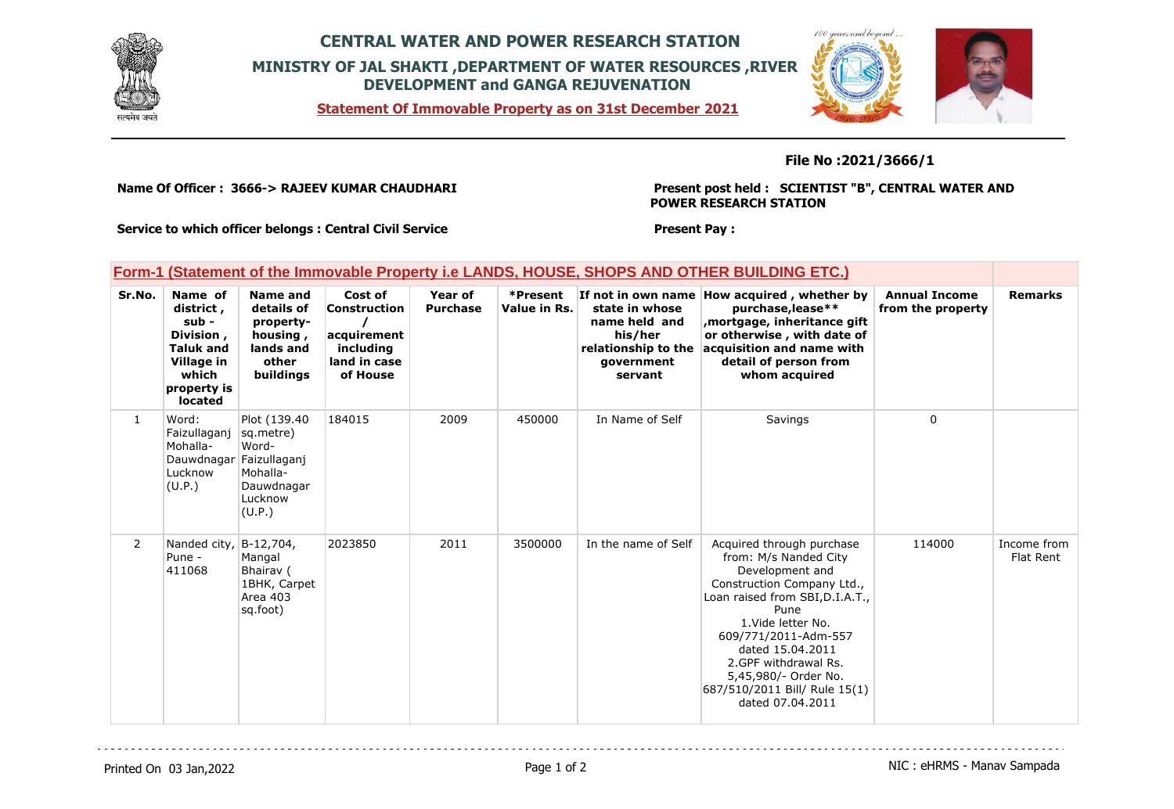

## **CENTRAL WATER AND POWER RESEARCH STATION MINISTRY OF JAL SHAKTI ,DEPARTMENT OF WATER RESOURCES ,RIVER DEVELOPMENT and GANGA REJUVENATION**

**Statement Of Immovable Property as on 31st December 2021**



## **File No :2021/3666/1**

**Name Of Officer : 3666-> RAJEEV KUMAR CHAUDHARI** 

**Present post held : SCIENTIST "B", CENTRAL WATER AND POWER RESEARCH STATION**

**Service to which officer belongs : Central Civil Service**

## **Present Pay :**

|  | Form-1 (Statement of the Immovable Property i.e LANDS, HOUSE, SHOPS AND OTHER BUILDING ETC.) |  |
|--|----------------------------------------------------------------------------------------------|--|
|  |                                                                                              |  |

| Sr.No. | Name of<br>district,<br>sub -<br>Division,<br><b>Taluk and</b><br>Village in<br>which<br>property is<br>located | Name and<br>details of<br>property-<br>housing,<br>lands and<br>other<br>buildings                 | Cost of<br><b>Construction</b><br>acquirement<br>including<br>land in case<br>of House | Year of<br><b>Purchase</b> | *Present<br>Value in Rs. | If not in own name<br>state in whose<br>name held and<br>his/her<br>relationship to the<br>government<br>servant | How acquired, whether by<br>purchase, lease**<br>mortgage, inheritance gift,<br>or otherwise, with date of<br>acquisition and name with<br>detail of person from<br>whom acquired                                                                                                                                     | <b>Annual Income</b><br>from the property | <b>Remarks</b>           |
|--------|-----------------------------------------------------------------------------------------------------------------|----------------------------------------------------------------------------------------------------|----------------------------------------------------------------------------------------|----------------------------|--------------------------|------------------------------------------------------------------------------------------------------------------|-----------------------------------------------------------------------------------------------------------------------------------------------------------------------------------------------------------------------------------------------------------------------------------------------------------------------|-------------------------------------------|--------------------------|
| 1      | Word:<br>Faizullaganj<br>Mohalla-<br>Dauwdnagar<br>Lucknow<br>(U.P.)                                            | Plot (139.40)<br>sq.metre)<br>Word-<br>Faizullaganj<br>Mohalla-<br>Dauwdnagar<br>Lucknow<br>(U.P.) | 184015                                                                                 | 2009                       | 450000                   | In Name of Self                                                                                                  | Savings                                                                                                                                                                                                                                                                                                               | 0                                         |                          |
| 2      | Nanded city,<br>Pune -<br>411068                                                                                | B-12,704,<br>Mangal<br>Bhairav (<br>1BHK, Carpet<br>Area 403<br>sq.foot)                           | 2023850                                                                                | 2011                       | 3500000                  | In the name of Self                                                                                              | Acquired through purchase<br>from: M/s Nanded City<br>Development and<br>Construction Company Ltd.,<br>Loan raised from SBI, D.I.A.T.,<br>Pune<br>1. Vide letter No.<br>609/771/2011-Adm-557<br>dated 15.04.2011<br>2.GPF withdrawal Rs.<br>5,45,980/- Order No.<br>687/510/2011 Bill/ Rule 15(1)<br>dated 07.04.2011 | 114000                                    | Income from<br>Flat Rent |